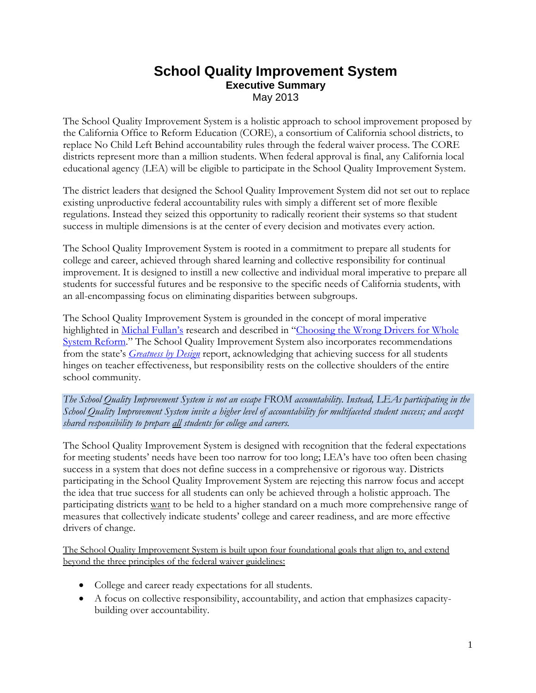## **School Quality Improvement System Executive Summary** May 2013

The School Quality Improvement System is a holistic approach to school improvement proposed by the California Office to Reform Education (CORE), a consortium of California school districts, to replace No Child Left Behind accountability rules through the federal waiver process. The CORE districts represent more than a million students. When federal approval is final, any California local educational agency (LEA) will be eligible to participate in the School Quality Improvement System.

The district leaders that designed the School Quality Improvement System did not set out to replace existing unproductive federal accountability rules with simply a different set of more flexible regulations. Instead they seized this opportunity to radically reorient their systems so that student success in multiple dimensions is at the center of every decision and motivates every action.

The School Quality Improvement System is rooted in a commitment to prepare all students for college and career, achieved through shared learning and collective responsibility for continual improvement. It is designed to instill a new collective and individual moral imperative to prepare all students for successful futures and be responsive to the specific needs of California students, with an all-encompassing focus on eliminating disparities between subgroups.

The School Quality Improvement System is grounded in the concept of moral imperative highlighted in [Michal Fullan's](http://www.michaelfullan.com/) research and described in "Choosing the Wrong Drivers for Whole [System Reform](http://www.michaelfullan.com/media/13436787590.html)." The School Quality Improvement System also incorporates recommendations from the state's *[Greatness by Design](http://www.cde.ca.gov/eo/in/documents/greatnessfinal.pdf)* report, acknowledging that achieving success for all students hinges on teacher effectiveness, but responsibility rests on the collective shoulders of the entire school community.

*The School Quality Improvement System is not an escape FROM accountability. Instead, LEAs participating in the School Quality Improvement System invite a higher level of accountability for multifaceted student success; and accept shared responsibility to prepare all students for college and careers.*

The School Quality Improvement System is designed with recognition that the federal expectations for meeting students' needs have been too narrow for too long; LEA's have too often been chasing success in a system that does not define success in a comprehensive or rigorous way. Districts participating in the School Quality Improvement System are rejecting this narrow focus and accept the idea that true success for all students can only be achieved through a holistic approach. The participating districts want to be held to a higher standard on a much more comprehensive range of measures that collectively indicate students' college and career readiness, and are more effective drivers of change.

The School Quality Improvement System is built upon four foundational goals that align to, and extend beyond the three principles of the federal waiver guidelines:

- College and career ready expectations for all students.
- A focus on collective responsibility, accountability, and action that emphasizes capacitybuilding over accountability.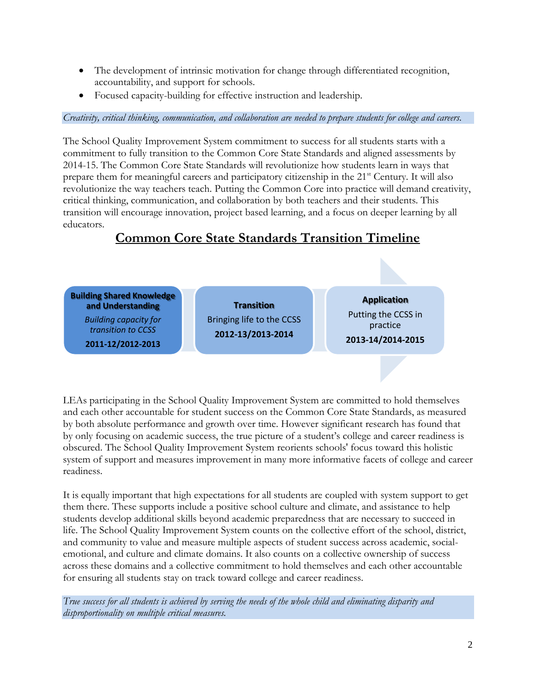- The development of intrinsic motivation for change through differentiated recognition, accountability, and support for schools.
- Focused capacity-building for effective instruction and leadership.

#### *Creativity, critical thinking, communication, and collaboration are needed to prepare students for college and careers.*

The School Quality Improvement System commitment to success for all students starts with a commitment to fully transition to the Common Core State Standards and aligned assessments by 2014-15. The Common Core State Standards will revolutionize how students learn in ways that prepare them for meaningful careers and participatory citizenship in the 21<sup>st</sup> Century. It will also revolutionize the way teachers teach. Putting the Common Core into practice will demand creativity, critical thinking, communication, and collaboration by both teachers and their students. This transition will encourage innovation, project based learning, and a focus on deeper learning by all educators.

## **Common Core State Standards Transition Timeline**



LEAs participating in the School Quality Improvement System are committed to hold themselves and each other accountable for student success on the Common Core State Standards, as measured by both absolute performance and growth over time. However significant research has found that by only focusing on academic success, the true picture of a student's college and career readiness is obscured. The School Quality Improvement System reorients schools' focus toward this holistic system of support and measures improvement in many more informative facets of college and career readiness.

It is equally important that high expectations for all students are coupled with system support to get them there. These supports include a positive school culture and climate, and assistance to help students develop additional skills beyond academic preparedness that are necessary to succeed in life. The School Quality Improvement System counts on the collective effort of the school, district, and community to value and measure multiple aspects of student success across academic, socialemotional, and culture and climate domains. It also counts on a collective ownership of success across these domains and a collective commitment to hold themselves and each other accountable for ensuring all students stay on track toward college and career readiness.

*True success for all students is achieved by serving the needs of the whole child and eliminating disparity and disproportionality on multiple critical measures.*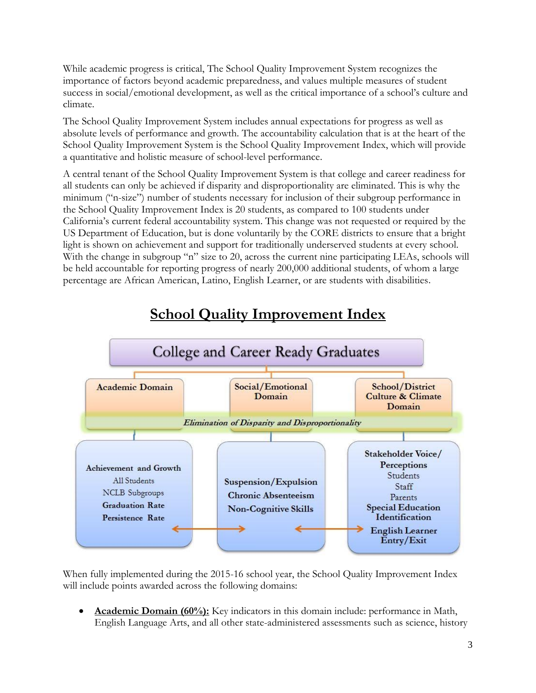While academic progress is critical, The School Quality Improvement System recognizes the importance of factors beyond academic preparedness, and values multiple measures of student success in social/emotional development, as well as the critical importance of a school's culture and climate.

The School Quality Improvement System includes annual expectations for progress as well as absolute levels of performance and growth. The accountability calculation that is at the heart of the School Quality Improvement System is the School Quality Improvement Index, which will provide a quantitative and holistic measure of school-level performance.

A central tenant of the School Quality Improvement System is that college and career readiness for all students can only be achieved if disparity and disproportionality are eliminated. This is why the minimum ("n-size") number of students necessary for inclusion of their subgroup performance in the School Quality Improvement Index is 20 students, as compared to 100 students under California's current federal accountability system. This change was not requested or required by the US Department of Education, but is done voluntarily by the CORE districts to ensure that a bright light is shown on achievement and support for traditionally underserved students at every school. With the change in subgroup "n" size to 20, across the current nine participating LEAs, schools will be held accountable for reporting progress of nearly 200,000 additional students, of whom a large percentage are African American, Latino, English Learner, or are students with disabilities.



# **School Quality Improvement Index**

When fully implemented during the 2015-16 school year, the School Quality Improvement Index will include points awarded across the following domains:

 **Academic Domain (60%):** Key indicators in this domain include: performance in Math, English Language Arts, and all other state-administered assessments such as science, history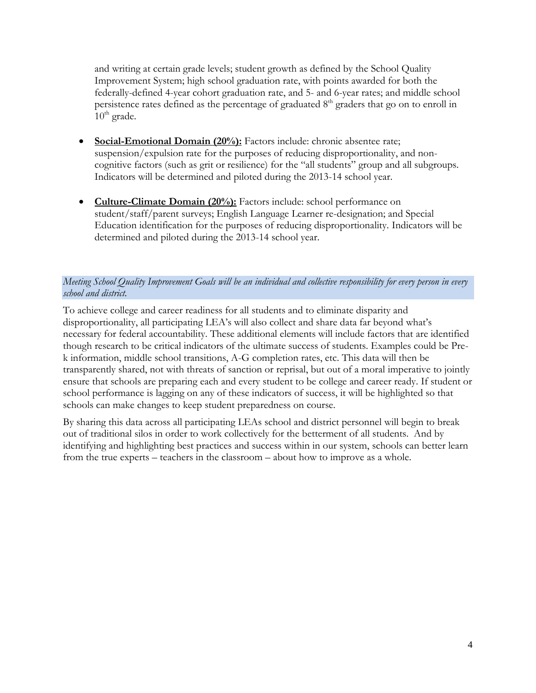and writing at certain grade levels; student growth as defined by the School Quality Improvement System; high school graduation rate, with points awarded for both the federally-defined 4-year cohort graduation rate, and 5- and 6-year rates; and middle school persistence rates defined as the percentage of graduated  $8<sup>th</sup>$  graders that go on to enroll in  $10^{th}$  grade.

- **Social-Emotional Domain (20%):** Factors include: chronic absentee rate; suspension/expulsion rate for the purposes of reducing disproportionality, and noncognitive factors (such as grit or resilience) for the "all students" group and all subgroups. Indicators will be determined and piloted during the 2013-14 school year.
- **Culture-Climate Domain (20%):** Factors include: school performance on student/staff/parent surveys; English Language Learner re-designation; and Special Education identification for the purposes of reducing disproportionality. Indicators will be determined and piloted during the 2013-14 school year.

#### *Meeting School Quality Improvement Goals will be an individual and collective responsibility for every person in every school and district.*

To achieve college and career readiness for all students and to eliminate disparity and disproportionality, all participating LEA's will also collect and share data far beyond what's necessary for federal accountability. These additional elements will include factors that are identified though research to be critical indicators of the ultimate success of students. Examples could be Prek information, middle school transitions, A-G completion rates, etc. This data will then be transparently shared, not with threats of sanction or reprisal, but out of a moral imperative to jointly ensure that schools are preparing each and every student to be college and career ready. If student or school performance is lagging on any of these indicators of success, it will be highlighted so that schools can make changes to keep student preparedness on course.

By sharing this data across all participating LEAs school and district personnel will begin to break out of traditional silos in order to work collectively for the betterment of all students. And by identifying and highlighting best practices and success within in our system, schools can better learn from the true experts – teachers in the classroom – about how to improve as a whole.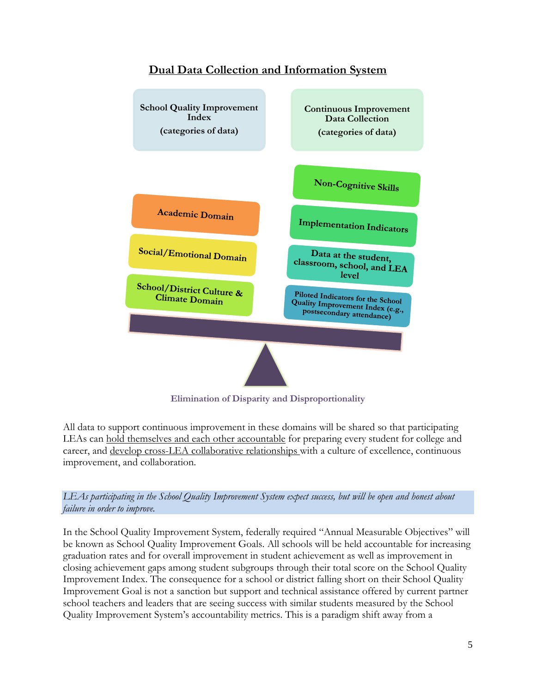

## **Dual Data Collection and Information System**

**Elimination of Disparity and Disproportionality**

All data to support continuous improvement in these domains will be shared so that participating LEAs can hold themselves and each other accountable for preparing every student for college and career, and develop cross-LEA collaborative relationships with a culture of excellence, continuous improvement, and collaboration.

*LEAs participating in the School Quality Improvement System expect success, but will be open and honest about failure in order to improve.* 

In the School Quality Improvement System, federally required "Annual Measurable Objectives" will be known as School Quality Improvement Goals. All schools will be held accountable for increasing graduation rates and for overall improvement in student achievement as well as improvement in closing achievement gaps among student subgroups through their total score on the School Quality Improvement Index. The consequence for a school or district falling short on their School Quality Improvement Goal is not a sanction but support and technical assistance offered by current partner school teachers and leaders that are seeing success with similar students measured by the School Quality Improvement System's accountability metrics. This is a paradigm shift away from a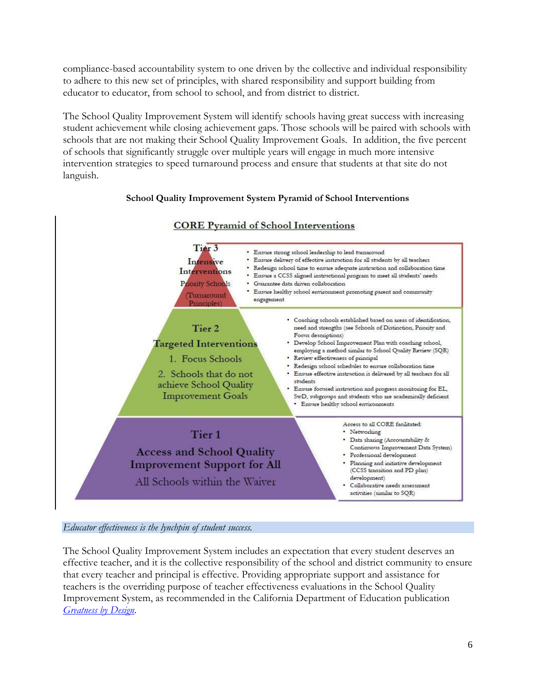compliance-based accountability system to one driven by the collective and individual responsibility to adhere to this new set of principles, with shared responsibility and support building from educator to educator, from school to school, and from district to district.

The School Quality Improvement System will identify schools having great success with increasing student achievement while closing achievement gaps. Those schools will be paired with schools with schools that are not making their School Quality Improvement Goals. In addition, the five percent of schools that significantly struggle over multiple years will engage in much more intensive intervention strategies to speed turnaround process and ensure that students at that site do not languish.

#### **School Quality Improvement System Pyramid of School Interventions**



### **CORE Pyramid of School Interventions**

*Educator effectiveness is the lynchpin of student success.* 

The School Quality Improvement System includes an expectation that every student deserves an effective teacher, and it is the collective responsibility of the school and district community to ensure that every teacher and principal is effective. Providing appropriate support and assistance for teachers is the overriding purpose of teacher effectiveness evaluations in the School Quality Improvement System, as recommended in the California Department of Education publication *[Greatness by Design](http://www.cde.ca.gov/eo/in/documents/greatnessfinal.pdf)*.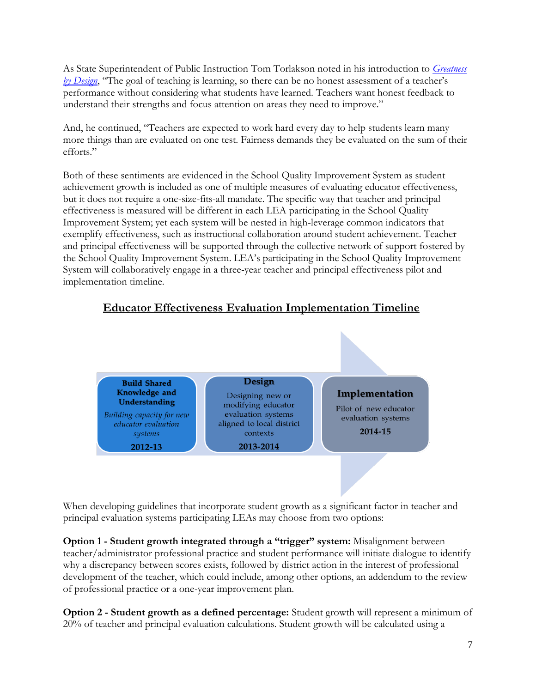As State Superintendent of Public Instruction Tom Torlakson noted in his introduction to *[Greatness](http://www.cde.ca.gov/eo/in/documents/greatnessfinal.pdf)  [by Design](http://www.cde.ca.gov/eo/in/documents/greatnessfinal.pdf)*, "The goal of teaching is learning, so there can be no honest assessment of a teacher's performance without considering what students have learned. Teachers want honest feedback to understand their strengths and focus attention on areas they need to improve."

And, he continued, "Teachers are expected to work hard every day to help students learn many more things than are evaluated on one test. Fairness demands they be evaluated on the sum of their efforts."

Both of these sentiments are evidenced in the School Quality Improvement System as student achievement growth is included as one of multiple measures of evaluating educator effectiveness, but it does not require a one-size-fits-all mandate. The specific way that teacher and principal effectiveness is measured will be different in each LEA participating in the School Quality Improvement System; yet each system will be nested in high-leverage common indicators that exemplify effectiveness, such as instructional collaboration around student achievement. Teacher and principal effectiveness will be supported through the collective network of support fostered by the School Quality Improvement System. LEA's participating in the School Quality Improvement System will collaboratively engage in a three-year teacher and principal effectiveness pilot and implementation timeline.

## **Educator Effectiveness Evaluation Implementation Timeline**



When developing guidelines that incorporate student growth as a significant factor in teacher and principal evaluation systems participating LEAs may choose from two options:

**Option 1 - Student growth integrated through a "trigger" system:** Misalignment between teacher/administrator professional practice and student performance will initiate dialogue to identify why a discrepancy between scores exists, followed by district action in the interest of professional development of the teacher, which could include, among other options, an addendum to the review of professional practice or a one-year improvement plan.

**Option 2 - Student growth as a defined percentage:** Student growth will represent a minimum of 20% of teacher and principal evaluation calculations. Student growth will be calculated using a